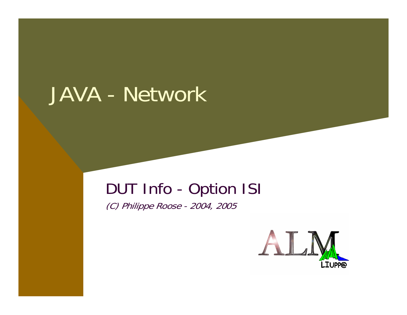## JAVA - Network

#### DUT Info - Option ISI

(C) Philippe Roose - 2004, 2005

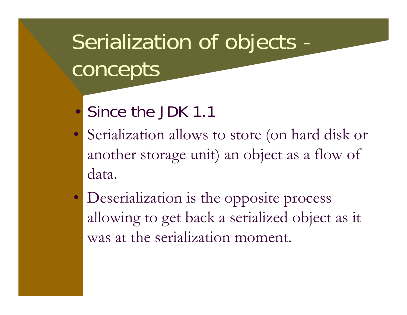# Serialization of objects concepts

- •Since the JDK 1.1
- Serialization allows to store (on hard disk or another storage unit) an object as a flow of data.
- Deserialization is the opposite process allowing to get back a serialized object as it was at the serialization moment.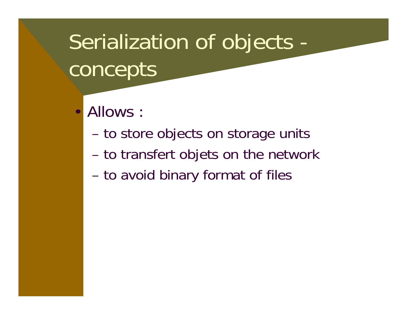# Serialization of objects concepts

- • Allows :
	- **Hart Common** to store objects on storage units
	- **Hart Common** to transfert objets on the network
	- **Hart Common** to avoid binary format of files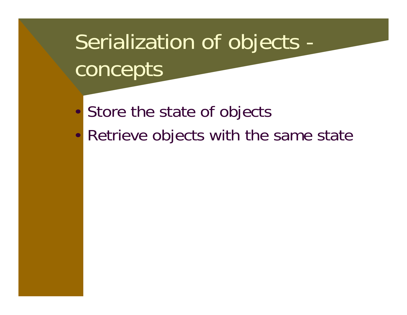# Serialization of objects concepts

- $\bullet$ Store the state of objects
- $\bullet$ Retrieve objects with the same state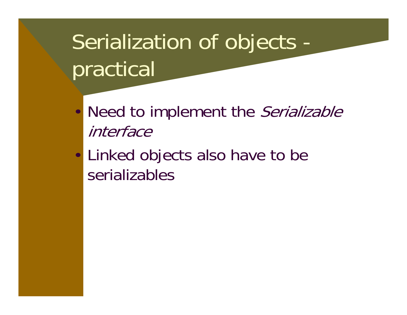# Serialization of objects practical

- •Need to implement the Serializable interface
- $\bullet$  Linked objects also have to be serializables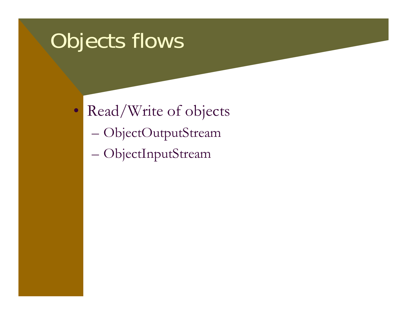## Objects flows

- • Read/Write of objects
	- $\mathcal{L}_{\mathcal{A}}$ ObjectOutputStream
	- $\mathcal{L}_{\mathcal{A}}$ ObjectInputStream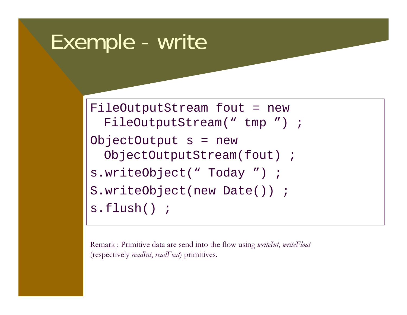### Exemple - write

```
FileOutputStream fout = new
 FileOutputStream(" tmp ") ;
ObjectOutput s = new
 ObjectOutputStream(fout) ;
s.writeObject(" Today ") ;
S.writeObject(new Date()) ;
s.flush() ;
```
Remark : Primitive data are send into the flow using *writeInt*, *writeFloat* (respectively *readInt*, *readFoat*) primitives.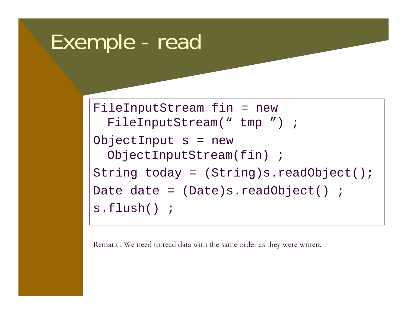### Exemple - read

```
FileInputStream fin = new
 FileInputStream(" tmp ") ;
ObjectInput s = new
 ObjectInputStream(fin) ;
String today = (String)s.readObject();
Date date = (Date)s.readObject() ;
s.flush() ;
```
<u>Remark :</u> We need to read data with the same order as they were writen.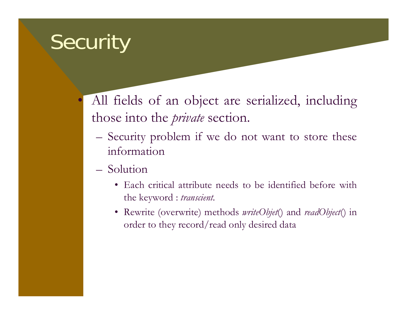## **Security**

 $\bullet$ 

 All fields of an object are serialized, including those into the *private* section.

- Security problem if we do not want to store these information
- Solution
	- Each critical attribute needs to be identified before with the keyword : *transcient*.
	- Rewrite (overwrite) methods *writeObjet*() and *readObject*() in order to they record/read only desired data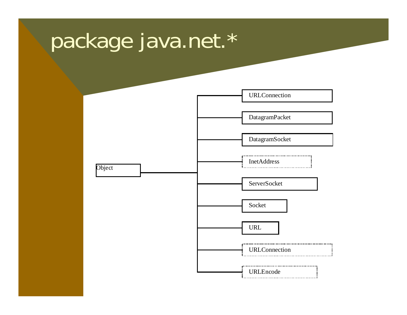## package java.net.\*

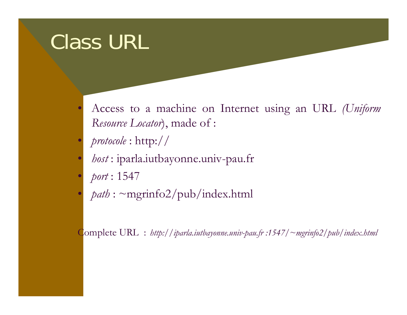## Class URL

- $\bullet$  Access to a machine on Internet using an URL *(Uniform Resource Locator*), made of :
- $\bullet$ *protocole* : http://
- $\bullet$ *host* : iparla.iutbayonne.univ-pau.fr
- $\bullet$ *port* : 1547
- $\bullet$ *path* : ~mgrinfo2/pub/index.html

Complete URL : *http://iparla.iutbayonne.univ-pau.fr :1547/~mgrinfo2/pub/index.html*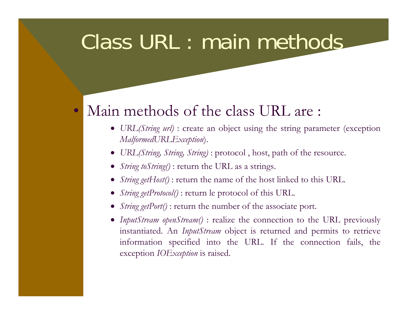## Class URL : main methods

#### $\bullet$ Main methods of the class URL are :

- *URL(String url)* : create an object using the string parameter (exception *MalformedURLException*).
- *URL(String, String, String)* : protocol , host, path of the resource.
- *String toString()* : return the URL as a strings.
- *String getHost()*: return the name of the host linked to this URL.
- *String getProtocol()* : return le protocol of this URL.
- *String getPort()* : return the number of the associate port.
- *InputStream openStream()* : realize the connection to the URL previously instantiated. An *InputStream* object is returned and permits to retrieve information specified into the URL. If the connection fails, the exception *IOException* is raised.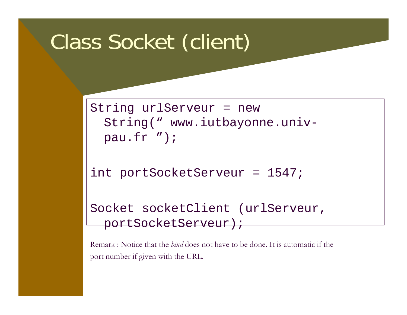## Class Socket (client)

```
String urlServeur = new 
  String(" www.iutbayonne.univ-
 pau.fr ");
```

```
int portSocketServeur = 1547;
```

```
Socket socketClient (urlServeur,
 portSocketServeur);
```
Remark : Notice that the *bind* does not have to be done. It is automatic if the port number if given with the URL.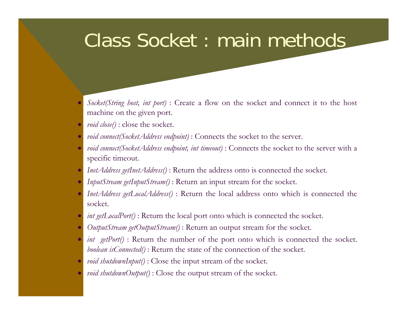#### Class Socket : main methods

- • *Socket(String host, int port)* : Create a flow on the socket and connect it to the host machine on the given port.
- •*void close()* : close the socket.
- $\bullet$ *void connect(SocketAddress endpoint)* : Connects the socket to the server.
- • *void connect(SocketAddress endpoint, int timeout)* : Connects the socket to the server with a specific timeout.
- •*InetAddress getInetAddress()* : Return the address onto is connected the socket.
- •*InputStream getInputStream()* : Return an input stream for the socket.
- $\bullet$  *InetAddress getLocalAddress()* : Return the local address onto which is connected the socket.
- $\bullet$ *int getLocalPort()*: Return the local port onto which is connected the socket.
- •*OutputStream getOutputStream()* : Return an output stream for the socket.
- •*int getPort()* : Return the number of the port onto which is connected the socket. *boolean isConnected()* : Return the state of the connection of the socket.
- •*void shutdownInput()* : Close the input stream of the socket.
- $\bullet$ *void shutdownOutput()* : Close the output stream of the socket.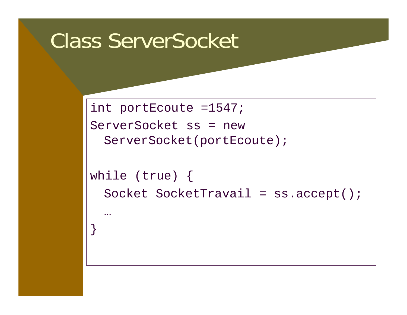### Class ServerSocket

int portEcoute =1547; ServerSocket ss = new ServerSocket(portEcoute);

while (true) { Socket SocketTravail = ss.accept(); …}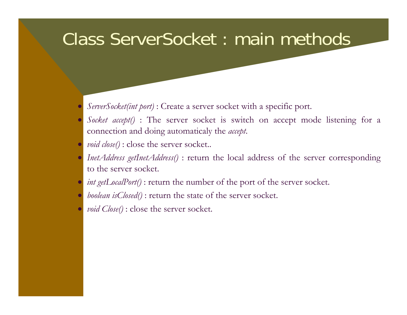#### Class ServerSocket : main methods

- $\bullet$ *ServerSocket(int port)* : Create a server socket with a specific port.
- $\bullet$  *Socket accept()* : The server socket is switch on accept mode listening for a connection and doing automaticaly the *accept*.
- $\bullet$ *void close()* : close the server socket..
- $\bullet$  *InetAddress getInetAddress()* : return the local address of the server corresponding to the server socket.
- $\bullet$ *int getLocalPort()* : return the number of the port of the server socket.
- $\bullet$ *boolean isClosed()* : return the state of the server socket.
- $\bullet$ *void Close()* : close the server socket.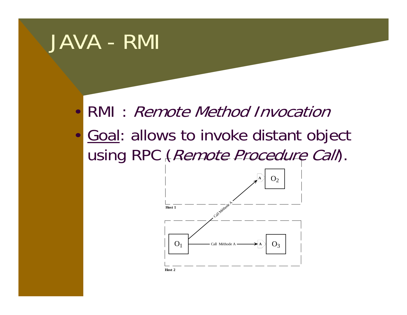## JAVA - RMI

- •RMI : Remote Method Invocation
- •Goal: allows to invoke distant object using RPC (Remote Procedure Call).

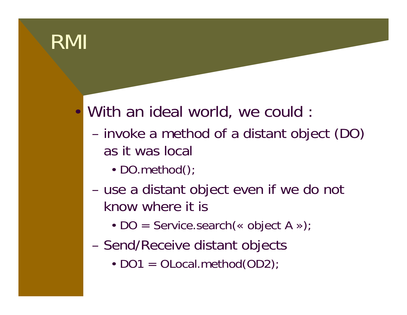## RMI

#### •With an ideal world, we could :

- **Hart Common**  invoke a method of a distant object (DO) as it was local
	- DO.method()
- **Hart Common**  use a distant object even if we do not know where it is
	- DO = Service.search(« object A »);
- Send/Receive distant objects
	- DO1 = OLocal.method(OD2)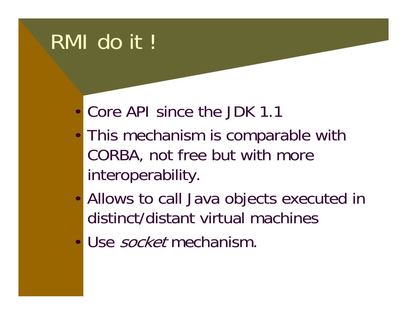## RMI do it !

- •Core API since the JDK 1.1
- • This mechanism is comparable with CORBA, not free but with more interoperability.
- • Allows to call Java objects executed in distinct/distant virtual machines
- Use *socket* mechanism.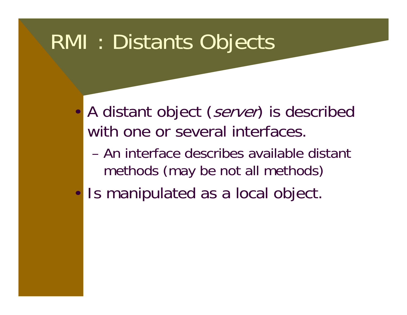### RMI : Distants Objects

- •A distant object (server) is described with one or several interfaces.
	- An interface describes available distant methods (may be not all methods)
- •Is manipulated as a local object.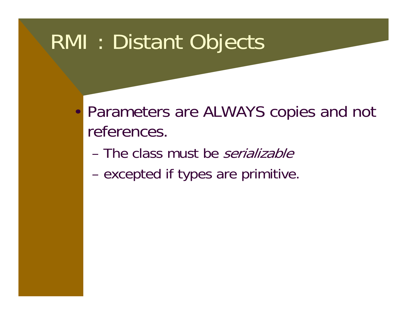## RMI : Distant Objects

- $\bullet$  Parameters are ALWAYS copies and not references.
	- The class must be *serializable*
	- **Hart Common** excepted if types are primitive.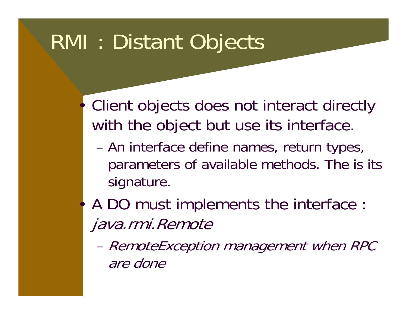## RMI : Distant Objects

•

•

- Client objects does not interact directly with the object but use its interface.
	- An interface define names, return types, parameters of available methods. The is its signature.
- A DO must implements the interface : java.rmi.Remote
	- RemoteException management when RPC are done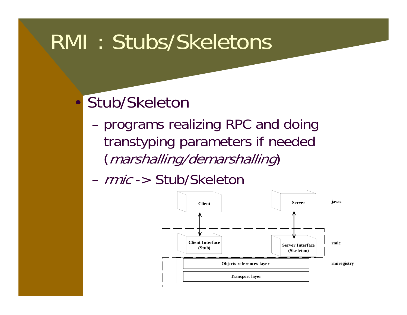## RMI : Stubs/Skeletons

#### •Stub/Skeleton

- **Hart Common**  programs realizing RPC and doing transtyping parameters if needed (marshalling/demarshalling)
- *rmic* -> Stub/Skeletor

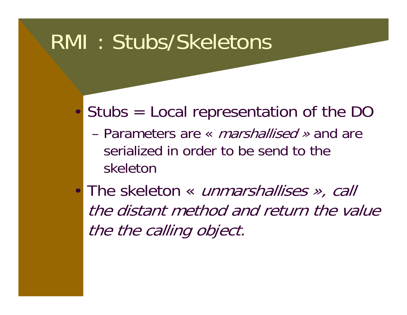## RMI : Stubs/Skeletons

- • Stubs = Local representation of the DO
	- Parameters are « *marshallised »* and are serialized in order to be send to the skeleton
- The skeleton « unmarshallises », call the distant method and return the value the the calling object.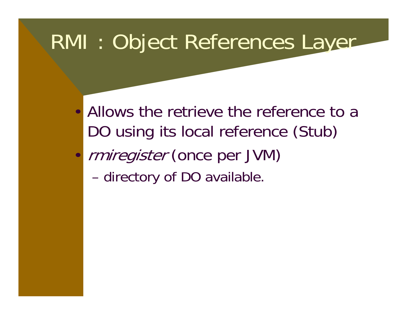## RMI : Object References Layer

- Allows the retrieve the reference to a DO using its local reference (Stub)
- • rmiregister (once per JVM)
	- **Hart Common** directory of DO available.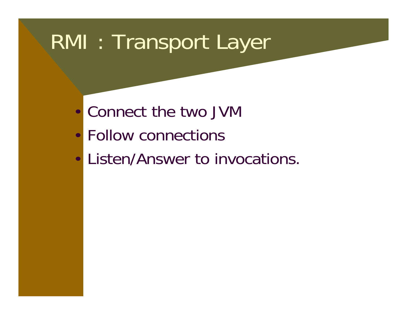## RMI : Transport Layer

- •Connect the two JVM
- Follow connections
- •Listen/Answer to invocations.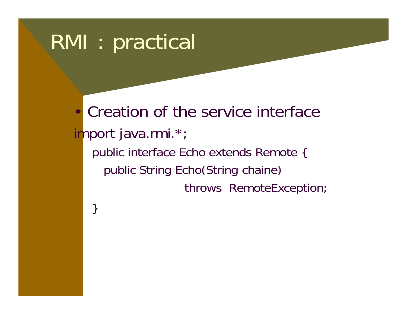}

• Creation of the service interface import java.rmi.\*; public interface Echo extends Remote { public String Echo(String chaine) throws RemoteException;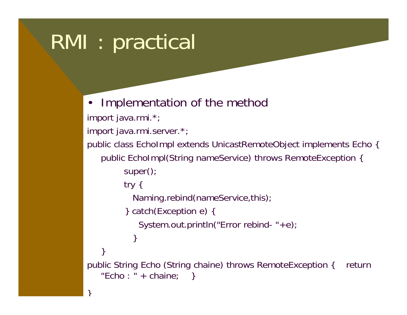ך<br>|

```
• Implementation of the method
import java.rmi.*;
import java.rmi.server.*;
public class EchoImpl extends UnicastRemoteObject implements Echo { 
   public EchoImpl(String nameService) throws RemoteException {
        super();
        try {
          Naming.rebind(nameService,this);
         } catch(Exception e) {
            System.out.println("Error rebind- "+e);
           } 
   } 
public String Echo (String chaine) throws RemoteException { return 
   "Echo : " + chaine; }
```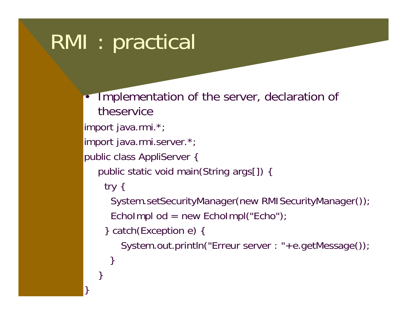•

}

 Implementation of the server, declaration of theserviceimport java.rmi.\*; import java.rmi.server.\*; public class AppliServer { public static void main(String args[]) { try { System.setSecurityManager(new RMISecurityManager()); EchoImpl od = new EchoImpl("Echo"); } catch(Exception e) { System.out.println("Erreur server : "+e.getMessage()); } }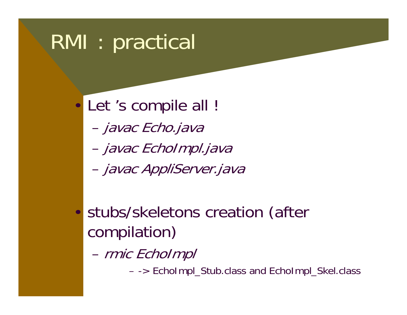•Let 's compile all !

- **Hart Common** – javac Echo.java
- **Hart Common** – javac EchoImpl.java
- **Hart Common** – javac AppliServer.java
- • stubs/skeletons creation (after compilation)
	- **Hart Common** rmic EchoImpl

-> EchoImpl\_Stub.class and EchoImpl\_Skel.class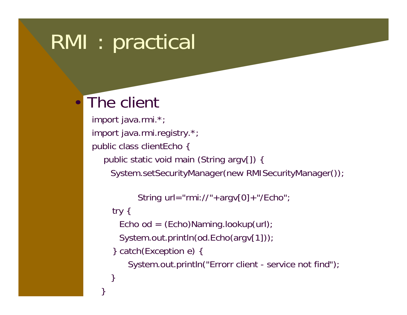#### •The client

import java.rmi.\*; import java.rmi.registry.\*; public class clientEcho { public static void main (String argv[]) { System.setSecurityManager(new RMISecurityManager());

```
String url="rmi://"+argv[0]+"/Echo";
```

```
try {
```
}

}

Echo od =  $(Echo)$ Naming.lookup $(url)$ ;

```
System.out.println(od.Echo(argv[1]));
```

```
} catch(Exception e) {
```
System.out.println("Errorr client - service not find");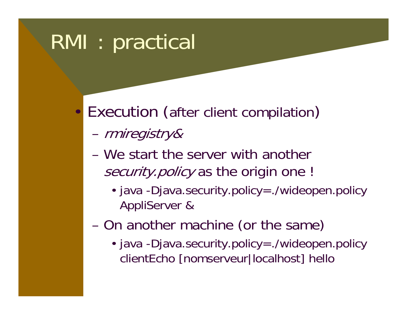- • Execution (after client compilation )
	- **Hart Common** rmiregistry&
	- We start the server with another security.policy as the origin one !
		- java -Djava.security.policy=./wideopen.policy AppliServer &
	- **Hart Common**  On another machine (or the same)
		- java -Djava.security.policy=./wideopen.policy clientEcho [nomserveur|localhost] hello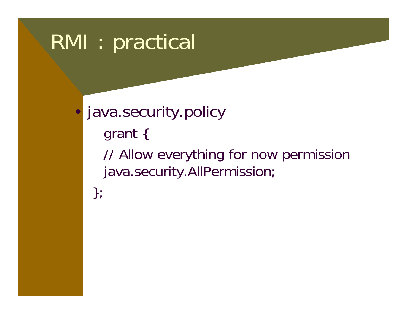•

 java.security.policy grant { // Allow everything for now permission java.security.AllPermission; };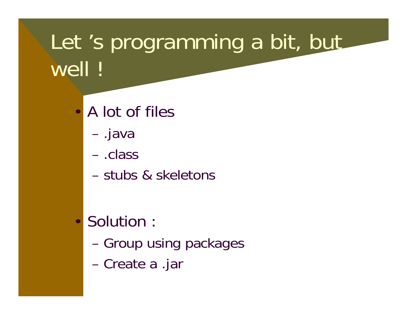# Let 's programming a bit, but well !

- • A lot of files
	- **Hart Common** .java
	- .class
	- stubs & skeletons
- • Solution :
	- **Hart Common** Group using packages
	- **Hart Common** Create a .jar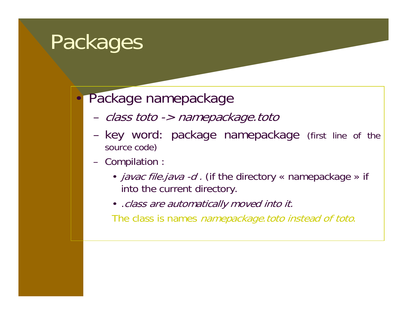## **Packages**

#### •Package namepackage

- –class toto -> namepackage.toto
- – key word: package namepackage (first line of the source code)
- Compilation
	- *javac file.java -d .* (if the directory « namepackage » if into the current directory.
	- .class are automatically moved into it.

The class is names *namepackage toto instead of toto*